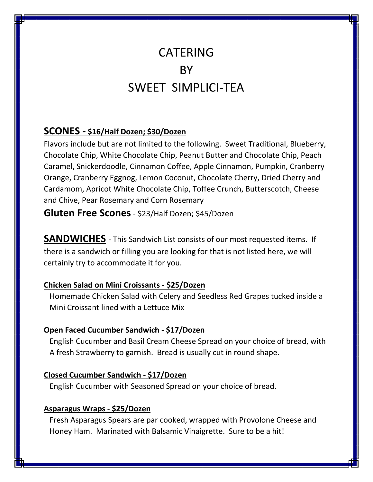# CATERING BY SWEET SIMPLICI-TEA

# **SCONES - \$16/Half Dozen; \$30/Dozen**

Flavors include but are not limited to the following. Sweet Traditional, Blueberry, Chocolate Chip, White Chocolate Chip, Peanut Butter and Chocolate Chip, Peach Caramel, Snickerdoodle, Cinnamon Coffee, Apple Cinnamon, Pumpkin, Cranberry Orange, Cranberry Eggnog, Lemon Coconut, Chocolate Cherry, Dried Cherry and Cardamom, Apricot White Chocolate Chip, Toffee Crunch, Butterscotch, Cheese and Chive, Pear Rosemary and Corn Rosemary

**Gluten Free Scones**- \$23/Half Dozen; \$45/Dozen

**SANDWICHES** - This Sandwich List consists of our most requested items. If there is a sandwich or filling you are looking for that is not listed here, we will certainly try to accommodate it for you.

## **Chicken Salad on Mini Croissants - \$25/Dozen**

 Homemade Chicken Salad with Celery and Seedless Red Grapes tucked inside a Mini Croissant lined with a Lettuce Mix

## **Open Faced Cucumber Sandwich - \$17/Dozen**

 English Cucumber and Basil Cream Cheese Spread on your choice of bread, with A fresh Strawberry to garnish. Bread is usually cut in round shape.

## **Closed Cucumber Sandwich - \$17/Dozen**

English Cucumber with Seasoned Spread on your choice of bread.

## **Asparagus Wraps - \$25/Dozen**

 Fresh Asparagus Spears are par cooked, wrapped with Provolone Cheese and Honey Ham. Marinated with Balsamic Vinaigrette. Sure to be a hit!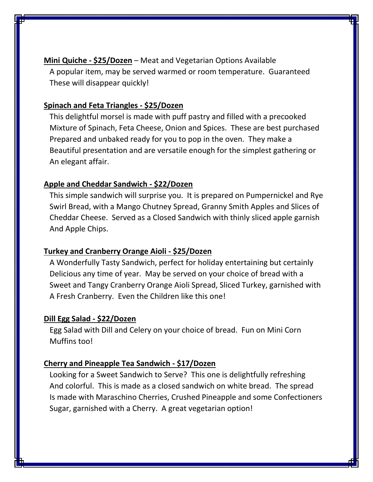**Mini Quiche - \$25/Dozen** – Meat and Vegetarian Options Available A popular item, may be served warmed or room temperature. Guaranteed These will disappear quickly!

#### **Spinach and Feta Triangles - \$25/Dozen**

 This delightful morsel is made with puff pastry and filled with a precooked Mixture of Spinach, Feta Cheese, Onion and Spices. These are best purchased Prepared and unbaked ready for you to pop in the oven. They make a Beautiful presentation and are versatile enough for the simplest gathering or An elegant affair.

#### **Apple and Cheddar Sandwich - \$22/Dozen**

 This simple sandwich will surprise you. It is prepared on Pumpernickel and Rye Swirl Bread, with a Mango Chutney Spread, Granny Smith Apples and Slices of Cheddar Cheese. Served as a Closed Sandwich with thinly sliced apple garnish And Apple Chips.

#### **Turkey and Cranberry Orange Aioli - \$25/Dozen**

 A Wonderfully Tasty Sandwich, perfect for holiday entertaining but certainly Delicious any time of year. May be served on your choice of bread with a Sweet and Tangy Cranberry Orange Aioli Spread, Sliced Turkey, garnished with A Fresh Cranberry. Even the Children like this one!

#### **Dill Egg Salad - \$22/Dozen**

 Egg Salad with Dill and Celery on your choice of bread. Fun on Mini Corn Muffins too!

## **Cherry and Pineapple Tea Sandwich - \$17/Dozen**

 Looking for a Sweet Sandwich to Serve? This one is delightfully refreshing And colorful. This is made as a closed sandwich on white bread. The spread Is made with Maraschino Cherries, Crushed Pineapple and some Confectioners Sugar, garnished with a Cherry. A great vegetarian option!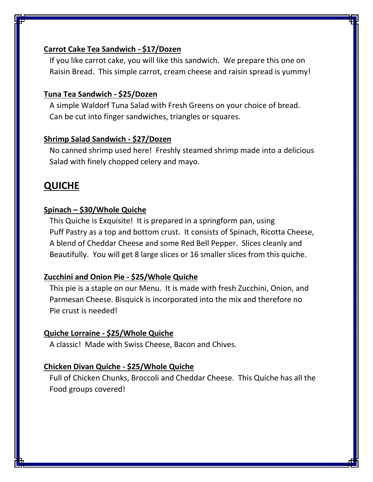## **Carrot Cake Tea Sandwich - \$17/Dozen**

 If you like carrot cake, you will like this sandwich. We prepare this one on Raisin Bread. This simple carrot, cream cheese and raisin spread is yummy!

## **Tuna Tea Sandwich - \$25/Dozen**

 A simple Waldorf Tuna Salad with Fresh Greens on your choice of bread. Can be cut into finger sandwiches, triangles or squares.

#### **Shrimp Salad Sandwich - \$27/Dozen**

 No canned shrimp used here! Freshly steamed shrimp made into a delicious Salad with finely chopped celery and mayo.

# **QUICHE**

## **Spinach – \$30/Whole Quiche**

 This Quiche is Exquisite! It is prepared in a springform pan, using Puff Pastry as a top and bottom crust. It consists of Spinach, Ricotta Cheese, A blend of Cheddar Cheese and some Red Bell Pepper. Slices cleanly and Beautifully. You will get 8 large slices or 16 smaller slices from this quiche.

## **Zucchini and Onion Pie - \$25/Whole Quiche**

 This pie is a staple on our Menu. It is made with fresh Zucchini, Onion, and Parmesan Cheese. Bisquick is incorporated into the mix and therefore no Pie crust is needed!

## **Quiche Lorraine - \$25/Whole Quiche**

A classic! Made with Swiss Cheese, Bacon and Chives.

#### **Chicken Divan Quiche - \$25/Whole Quiche**

 Full of Chicken Chunks, Broccoli and Cheddar Cheese. This Quiche has all the Food groups covered!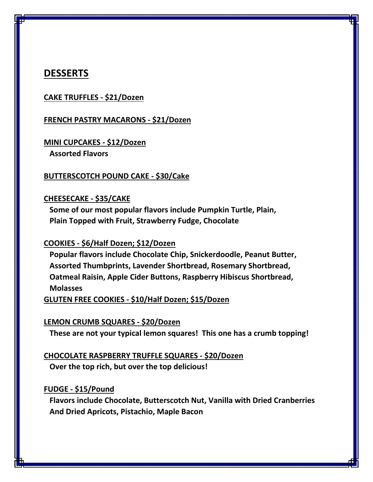## **DESSERTS**

#### **CAKE TRUFFLES - \$21/Dozen**

#### **FRENCH PASTRY MACARONS - \$21/Dozen**

#### **MINI CUPCAKES - \$12/Dozen Assorted Flavors**

#### **BUTTERSCOTCH POUND CAKE - \$30/Cake**

#### **CHEESECAKE - \$35/CAKE**

 **Some of our most popular flavors include Pumpkin Turtle, Plain, Plain Topped with Fruit, Strawberry Fudge, Chocolate**

#### **COOKIES - \$6/Half Dozen; \$12/Dozen**

 **Popular flavors include Chocolate Chip, Snickerdoodle, Peanut Butter, Assorted Thumbprints, Lavender Shortbread, Rosemary Shortbread, Oatmeal Raisin, Apple Cider Buttons, Raspberry Hibiscus Shortbread, Molasses**

**GLUTEN FREE COOKIES - \$10/Half Dozen; \$15/Dozen**

#### **LEMON CRUMB SQUARES - \$20/Dozen**

 **These are not your typical lemon squares! This one has a crumb topping!** 

## **CHOCOLATE RASPBERRY TRUFFLE SQUARES - \$20/Dozen Over the top rich, but over the top delicious!**

#### **FUDGE - \$15/Pound**

 **Flavors include Chocolate, Butterscotch Nut, Vanilla with Dried Cranberries And Dried Apricots, Pistachio, Maple Bacon**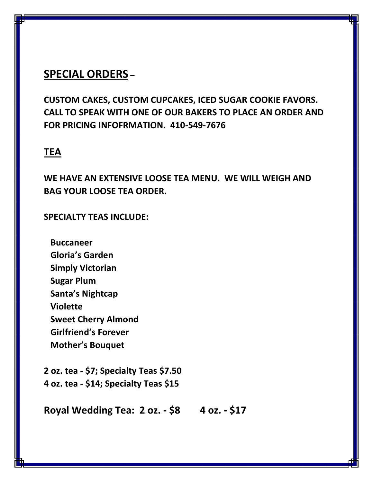# **SPECIAL ORDERS –**

**CUSTOM CAKES, CUSTOM CUPCAKES, ICED SUGAR COOKIE FAVORS. CALL TO SPEAK WITH ONE OF OUR BAKERS TO PLACE AN ORDER AND FOR PRICING INFOFRMATION. 410-549-7676**

# **TEA**

**WE HAVE AN EXTENSIVE LOOSE TEA MENU. WE WILL WEIGH AND BAG YOUR LOOSE TEA ORDER.**

## **SPECIALTY TEAS INCLUDE:**

 **Buccaneer Gloria's Garden Simply Victorian Sugar Plum Santa's Nightcap Violette Sweet Cherry Almond Girlfriend's Forever Mother's Bouquet**

**2 oz. tea - \$7; Specialty Teas \$7.50 4 oz. tea - \$14; Specialty Teas \$15**

**Royal Wedding Tea: 2 oz. - \$8 4 oz. - \$17**